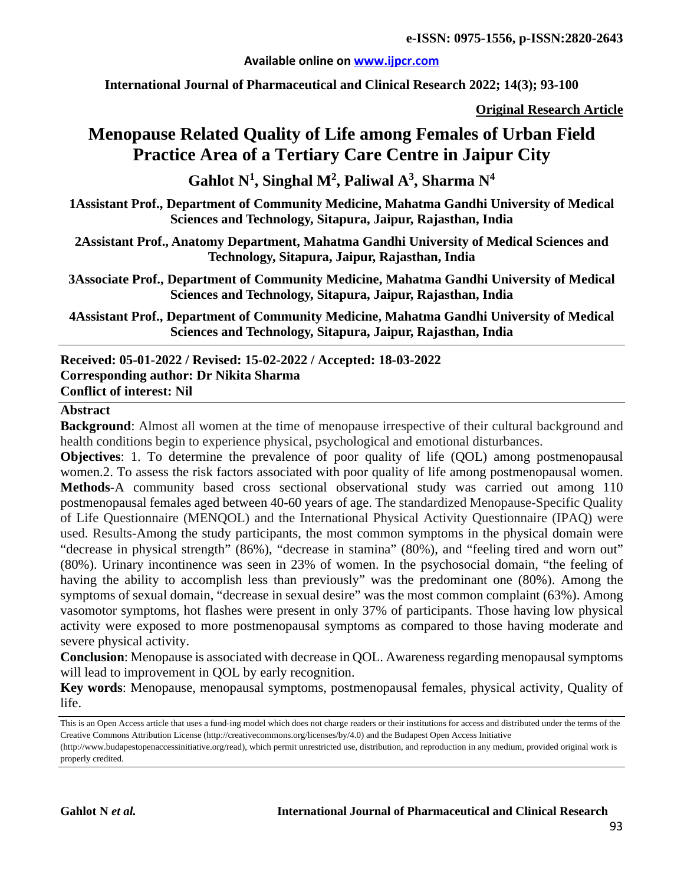#### **Available online on [www.ijpcr.com](http://www.ijpcr.com/)**

**International Journal of Pharmaceutical and Clinical Research 2022; 14(3); 93-100**

**Original Research Article**

# **Menopause Related Quality of Life among Females of Urban Field Practice Area of a Tertiary Care Centre in Jaipur City**

 $\mathbf{G}$ ahlot  $\mathbf{N}^1$ , Singhal  $\mathbf{M}^2$ , Paliwal  $\mathbf{A}^3$ , Sharma  $\mathbf{N}^4$ 

**1Assistant Prof., Department of Community Medicine, Mahatma Gandhi University of Medical Sciences and Technology, Sitapura, Jaipur, Rajasthan, India**

**2Assistant Prof., Anatomy Department, Mahatma Gandhi University of Medical Sciences and Technology, Sitapura, Jaipur, Rajasthan, India**

**3Associate Prof., Department of Community Medicine, Mahatma Gandhi University of Medical Sciences and Technology, Sitapura, Jaipur, Rajasthan, India**

**4Assistant Prof., Department of Community Medicine, Mahatma Gandhi University of Medical Sciences and Technology, Sitapura, Jaipur, Rajasthan, India**

**Received: 05-01-2022 / Revised: 15-02-2022 / Accepted: 18-03-2022 Corresponding author: Dr Nikita Sharma Conflict of interest: Nil**

#### **Abstract**

**Background:** Almost all women at the time of menopause irrespective of their cultural background and health conditions begin to experience physical, psychological and emotional disturbances.

**Objectives**: 1. To determine the prevalence of poor quality of life (QOL) among postmenopausal women.2. To assess the risk factors associated with poor quality of life among postmenopausal women. **Methods**-A community based cross sectional observational study was carried out among 110 postmenopausal females aged between 40-60 years of age. The standardized Menopause-Specific Quality of Life Questionnaire (MENQOL) and the International Physical Activity Questionnaire (IPAQ) were used. Results-Among the study participants, the most common symptoms in the physical domain were "decrease in physical strength" (86%), "decrease in stamina" (80%), and "feeling tired and worn out" (80%). Urinary incontinence was seen in 23% of women. In the psychosocial domain, "the feeling of having the ability to accomplish less than previously" was the predominant one (80%). Among the symptoms of sexual domain, "decrease in sexual desire" was the most common complaint (63%). Among vasomotor symptoms, hot flashes were present in only 37% of participants. Those having low physical activity were exposed to more postmenopausal symptoms as compared to those having moderate and severe physical activity.

**Conclusion**: Menopause is associated with decrease in QOL. Awareness regarding menopausal symptoms will lead to improvement in QOL by early recognition.

**Key words**: Menopause, menopausal symptoms, postmenopausal females, physical activity, Quality of life.

This is an Open Access article that uses a fund-ing model which does not charge readers or their institutions for access and distributed under the terms of the Creative Commons Attribution License (http://creativecommons.org/licenses/by/4.0) and the Budapest Open Access Initiative

<sup>(</sup>http://www.budapestopenaccessinitiative.org/read), which permit unrestricted use, distribution, and reproduction in any medium, provided original work is properly credited.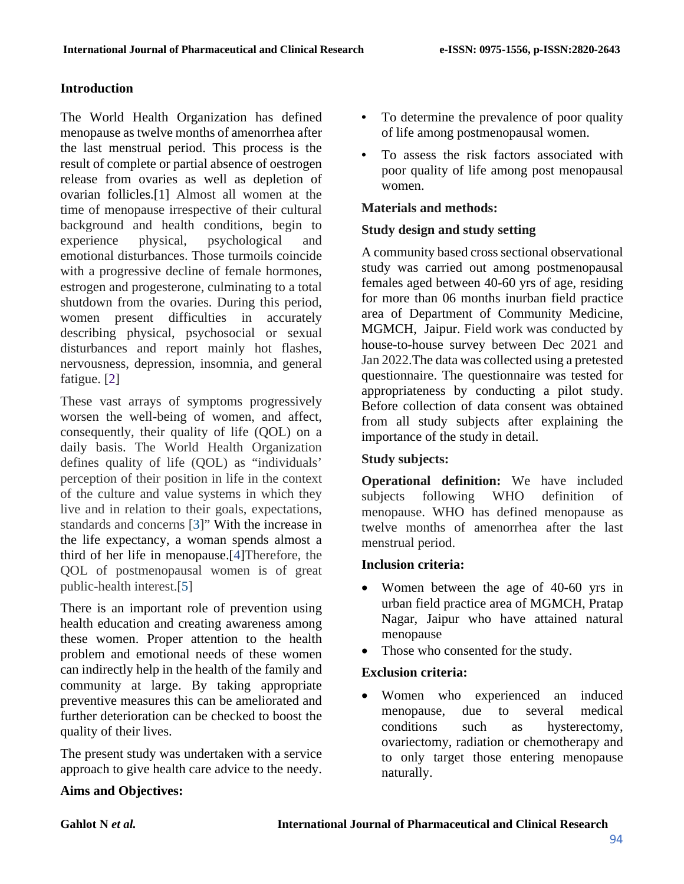# **Introduction**

The World Health Organization has defined menopause as twelve months of amenorrhea after the last menstrual period. This process is the result of complete or partial absence of oestrogen release from ovaries as well as depletion of ovarian follicles.[1] Almost all women at the time of menopause irrespective of their cultural background and health conditions, begin to experience physical, psychological and emotional disturbances. Those turmoils coincide with a progressive decline of female hormones, estrogen and progesterone, culminating to a total shutdown from the ovaries. During this period, women present difficulties in accurately describing physical, psychosocial or sexual disturbances and report mainly hot flashes, nervousness, depression, insomnia, and general fatigue. [\[2\]](https://journals.plos.org/plosone/article?id=10.1371/journal.pone.0230515#pone.0230515.ref003)

These vast arrays of symptoms progressively worsen the well-being of women, and affect, consequently, their quality of life (QOL) on a daily basis. The World Health Organization defines quality of life (QOL) as "individuals' perception of their position in life in the context of the culture and value systems in which they live and in relation to their goals, expectations, standards and concerns [\[3\]](https://bmcwomenshealth.biomedcentral.com/articles/10.1186/s12905-020-00960-4#ref-CR1)" With the increase in the life expectancy, a woman spends almost a third of her life in menopause.[\[4\]](https://www.ncbi.nlm.nih.gov/pmc/articles/PMC3576769/#b1)Therefore, the QOL of postmenopausal women is of great public-health interest.[\[5\]](https://bmcwomenshealth.biomedcentral.com/articles/10.1186/s12905-020-00960-4#ref-CR9)

There is an important role of prevention using health education and creating awareness among these women. Proper attention to the health problem and emotional needs of these women can indirectly help in the health of the family and community at large. By taking appropriate preventive measures this can be ameliorated and further deterioration can be checked to boost the quality of their lives.

The present study was undertaken with a service approach to give health care advice to the needy.

### • To determine the prevalence of poor quality of life among postmenopausal women.

• To assess the risk factors associated with poor quality of life among post menopausal women.

# **Materials and methods:**

# **Study design and study setting**

A community based cross sectional observational study was carried out among postmenopausal females aged between 40-60 yrs of age, residing for more than 06 months inurban field practice area of Department of Community Medicine, MGMCH, Jaipur. Field work was conducted by house-to-house survey between Dec 2021 and Jan 2022.The data was collected using a pretested questionnaire. The questionnaire was tested for appropriateness by conducting a pilot study. Before collection of data consent was obtained from all study subjects after explaining the importance of the study in detail.

# **Study subjects:**

**Operational definition:** We have included subjects following WHO definition of menopause. WHO has defined menopause as twelve months of amenorrhea after the last menstrual period.

# **Inclusion criteria:**

- Women between the age of 40-60 yrs in urban field practice area of MGMCH, Pratap Nagar, Jaipur who have attained natural menopause
- Those who consented for the study.

# **Exclusion criteria:**

Women who experienced an induced menopause, due to several medical conditions such as hysterectomy, ovariectomy, radiation or chemotherapy and to only target those entering menopause naturally.

# **Aims and Objectives:**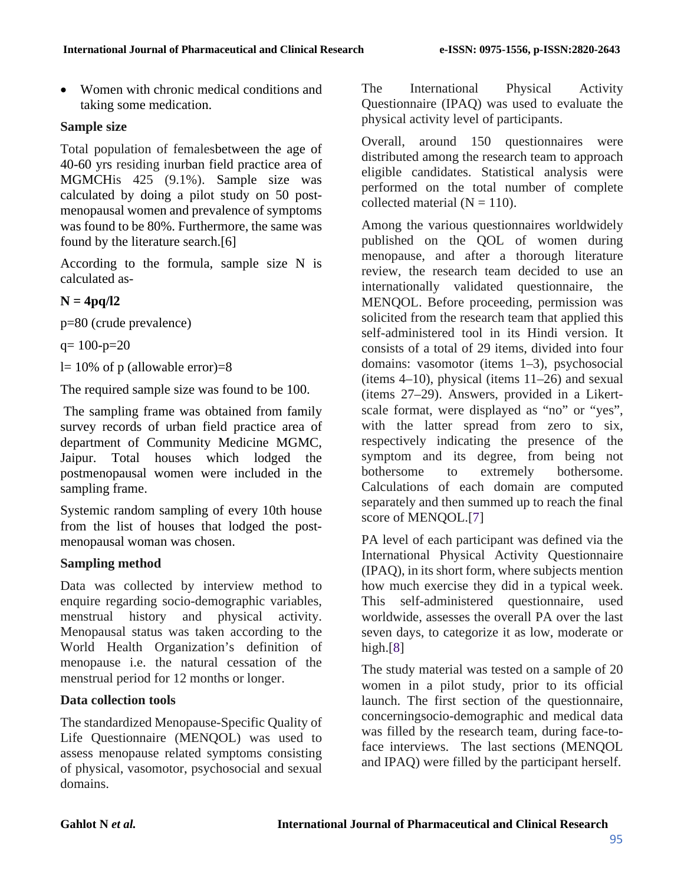• Women with chronic medical conditions and taking some medication.

# **Sample size**

Total population of femalesbetween the age of 40-60 yrs residing inurban field practice area of MGMCHis 425 (9.1%). Sample size was calculated by doing a pilot study on 50 postmenopausal women and prevalence of symptoms was found to be 80%. Furthermore, the same was found by the literature search.[6]

According to the formula, sample size N is calculated as-

# **N = 4pq/l2**

p=80 (crude prevalence)

 $q= 100-p=20$ 

l= 10% of p (allowable error)=8

The required sample size was found to be 100.

The sampling frame was obtained from family survey records of urban field practice area of department of Community Medicine MGMC, Jaipur. Total houses which lodged the postmenopausal women were included in the sampling frame.

Systemic random sampling of every 10th house from the list of houses that lodged the postmenopausal woman was chosen.

# **Sampling method**

Data was collected by interview method to enquire regarding socio-demographic variables, menstrual history and physical activity. Menopausal status was taken according to the World Health Organization's definition of menopause i.e. the natural cessation of the menstrual period for 12 months or longer.

# **Data collection tools**

The standardized Menopause-Specific Quality of Life Questionnaire (MENQOL) was used to assess menopause related symptoms consisting of physical, vasomotor, psychosocial and sexual domains.

The International Physical Activity Questionnaire (IPAQ) was used to evaluate the physical activity level of participants.

Overall, around 150 questionnaires were distributed among the research team to approach eligible candidates. Statistical analysis were performed on the total number of complete collected material  $(N = 110)$ .

Among the various questionnaires worldwidely published on the QOL of women during menopause, and after a thorough literature review, the research team decided to use an internationally validated questionnaire, the MENQOL. Before proceeding, permission was solicited from the research team that applied this self-administered tool in its Hindi version. It consists of a total of 29 items, divided into four domains: vasomotor (items 1–3), psychosocial (items 4–10), physical (items 11–26) and sexual (items 27–29). Answers, provided in a Likertscale format, were displayed as "no" or "yes", with the latter spread from zero to six, respectively indicating the presence of the symptom and its degree, from being not bothersome to extremely bothersome. Calculations of each domain are computed separately and then summed up to reach the final score of MENQOL.[7]

PA level of each participant was defined via the International Physical Activity Questionnaire (IPAQ), in its short form, where subjects mention how much exercise they did in a typical week. This self-administered questionnaire, used worldwide, assesses the overall PA over the last seven days, to categorize it as low, moderate or high.[8]

The study material was tested on a sample of 20 women in a pilot study, prior to its official launch. The first section of the questionnaire, concerningsocio-demographic and medical data was filled by the research team, during face-toface interviews. The last sections (MENQOL and IPAQ) were filled by the participant herself.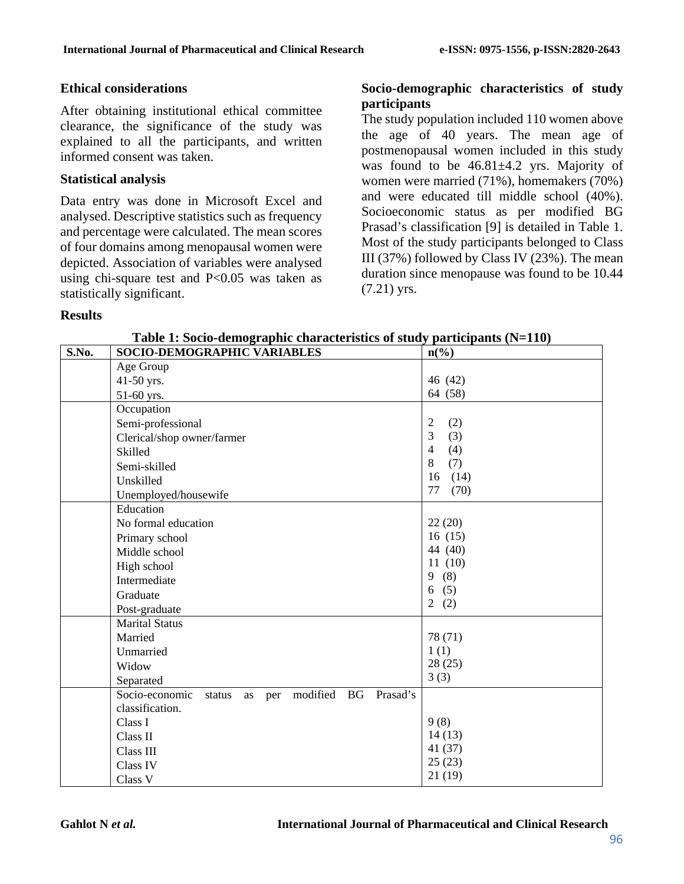### **Ethical considerations**

After obtaining institutional ethical committee clearance, the significance of the study was explained to all the participants, and written informed consent was taken.

#### **Statistical analysis**

Data entry was done in Microsoft Excel and analysed. Descriptive statistics such as frequency and percentage were calculated. The mean scores of four domains among menopausal women were depicted. Association of variables were analysed using chi-square test and P<0.05 was taken as statistically significant.

### **Socio-demographic characteristics of study participants**

The study population included 110 women above the age of 40 years. The mean age of postmenopausal women included in this study was found to be 46.81±4.2 yrs. Majority of women were married (71%), homemakers (70%) and were educated till middle school (40%). Socioeconomic status as per modified BG Prasad's classification [9] is detailed in Table 1. Most of the study participants belonged to Class III (37%) followed by Class IV (23%). The mean duration since menopause was found to be 10.44 (7.21) yrs.

#### **Results**

| S.No. | SOCIO-DEMOGRAPHIC VARIABLES                                   | $n\left(\frac{6}{6}\right)$ |
|-------|---------------------------------------------------------------|-----------------------------|
|       | Age Group                                                     |                             |
|       | 41-50 yrs.                                                    | 46 (42)                     |
|       | 51-60 yrs.                                                    | 64 (58)                     |
|       | Occupation                                                    |                             |
|       | Semi-professional                                             | $\overline{2}$<br>(2)       |
|       | Clerical/shop owner/farmer                                    | $\mathfrak{Z}$<br>(3)       |
|       | Skilled                                                       | $\overline{4}$<br>(4)       |
|       | Semi-skilled                                                  | 8<br>(7)                    |
|       | Unskilled                                                     | (14)<br>16                  |
|       | Unemployed/housewife                                          | 77<br>(70)                  |
|       | Education                                                     |                             |
|       | No formal education                                           | 22(20)                      |
|       | Primary school                                                | 16(15)                      |
|       | Middle school                                                 | 44 (40)                     |
|       | High school                                                   | 11(10)                      |
|       | Intermediate                                                  | (8)<br>9                    |
|       | Graduate                                                      | (5)<br>6                    |
|       | Post-graduate                                                 | $\overline{2}$<br>(2)       |
|       | <b>Marital Status</b>                                         |                             |
|       | Married                                                       | 78 (71)                     |
|       | Unmarried                                                     | 1(1)                        |
|       | Widow                                                         | 28(25)                      |
|       | Separated                                                     | 3(3)                        |
|       | modified BG<br>Socio-economic<br>Prasad's<br>status<br>as per |                             |
|       | classification.                                               |                             |
|       | Class I                                                       | 9(8)                        |
|       | Class II                                                      | 14(13)                      |
|       | Class III                                                     | 41(37)                      |
|       | <b>Class IV</b>                                               | 25(23)                      |
|       | Class V                                                       | 21(19)                      |

**Table 1: Socio-demographic characteristics of study participants (N=110)**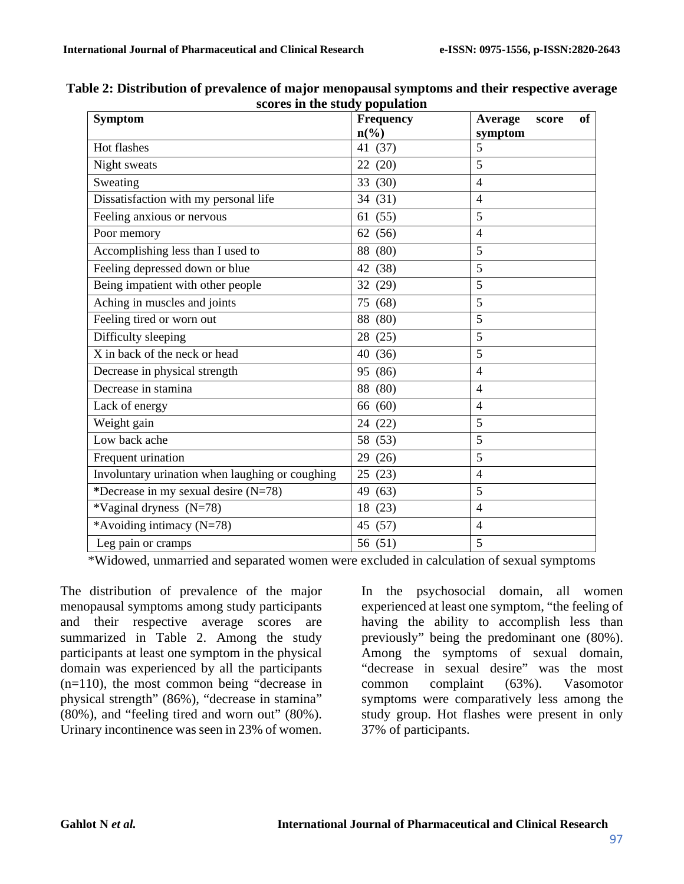| <b>Symptom</b>                                  | Frequency       | Average<br>of<br>score |
|-------------------------------------------------|-----------------|------------------------|
|                                                 | $n\binom{0}{0}$ | symptom                |
| Hot flashes                                     | (37)<br>41      | 5                      |
| Night sweats                                    | (20)<br>22      | 5                      |
| Sweating                                        | (30)<br>33      | $\overline{4}$         |
| Dissatisfaction with my personal life           | (31)<br>34      | $\overline{4}$         |
| Feeling anxious or nervous                      | (55)<br>61      | 5                      |
| Poor memory                                     | (56)<br>62      | $\overline{4}$         |
| Accomplishing less than I used to               | (80)<br>88      | 5                      |
| Feeling depressed down or blue                  | (38)<br>42      | 5                      |
| Being impatient with other people               | (29)<br>32      | 5                      |
| Aching in muscles and joints                    | 75<br>(68)      | 5                      |
| Feeling tired or worn out                       | (80)<br>88      | 5                      |
| Difficulty sleeping                             | (25)<br>28      | 5                      |
| X in back of the neck or head                   | (36)<br>40      | 5                      |
| Decrease in physical strength                   | (86)<br>95      | $\overline{4}$         |
| Decrease in stamina                             | (80)<br>88      | $\overline{4}$         |
| Lack of energy                                  | (60)<br>66      | $\overline{4}$         |
| Weight gain                                     | (22)<br>24      | 5                      |
| Low back ache                                   | (53)<br>58      | 5                      |
| Frequent urination                              | (26)<br>29      | 5                      |
| Involuntary urination when laughing or coughing | 25<br>(23)      | $\overline{4}$         |
| *Decrease in my sexual desire (N=78)            | 49<br>(63)      | 5                      |
| *Vaginal dryness (N=78)                         | 18<br>(23)      | $\overline{4}$         |
| *Avoiding intimacy (N=78)                       | (57)<br>45      | $\overline{4}$         |
| Leg pain or cramps                              | 56 (51)         | 5                      |

**Table 2: Distribution of prevalence of major menopausal symptoms and their respective average scores in the study population**

\*Widowed, unmarried and separated women were excluded in calculation of sexual symptoms

The distribution of prevalence of the major menopausal symptoms among study participants and their respective average scores are summarized in Table 2. Among the study participants at least one symptom in the physical domain was experienced by all the participants (n=110), the most common being "decrease in physical strength" (86%), "decrease in stamina" (80%), and "feeling tired and worn out" (80%). Urinary incontinence was seen in 23% of women.

In the psychosocial domain, all women experienced at least one symptom, "the feeling of having the ability to accomplish less than previously" being the predominant one (80%). Among the symptoms of sexual domain, "decrease in sexual desire" was the most common complaint (63%). Vasomotor symptoms were comparatively less among the study group. Hot flashes were present in only 37% of participants.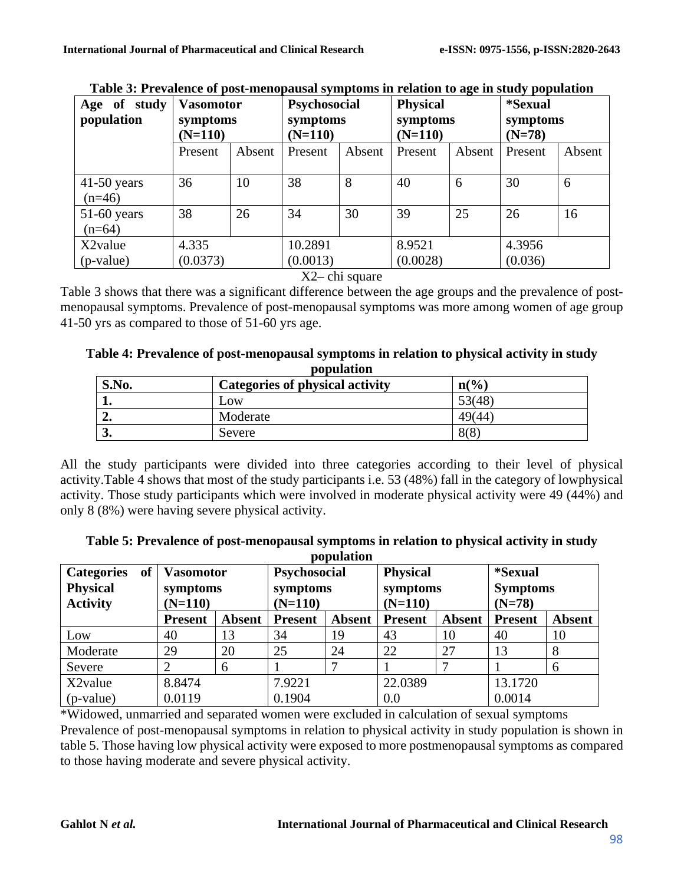| study<br>of<br>Age<br>population | <b>Vasomotor</b><br>symptoms<br>$(N=110)$ |        | Psychosocial<br>symptoms<br>$(N=110)$ |        | $\sim$<br><b>Physical</b><br>symptoms<br>$(N=110)$ |        | .<br><i>*Sexual</i><br>symptoms<br>$(N=78)$ |        |
|----------------------------------|-------------------------------------------|--------|---------------------------------------|--------|----------------------------------------------------|--------|---------------------------------------------|--------|
|                                  | Present                                   | Absent | Present                               | Absent | Present                                            | Absent | Present                                     | Absent |
| $41-50$ years<br>$(n=46)$        | 36                                        | 10     | 38                                    | 8      | 40                                                 | 6      | 30                                          | 6      |
| $51-60$ years<br>$(n=64)$        | 38                                        | 26     | 34                                    | 30     | 39                                                 | 25     | 26                                          | 16     |
| X <sub>2</sub> value             | 4.335                                     |        | 10.2891                               |        | 8.9521                                             |        | 4.3956                                      |        |
| (p-value)                        | (0.0373)                                  |        | (0.0013)                              |        | (0.0028)                                           |        | (0.036)                                     |        |

**Table 3: Prevalence of post-menopausal symptoms in relation to age in study population**

X2– chi square

Table 3 shows that there was a significant difference between the age groups and the prevalence of postmenopausal symptoms. Prevalence of post-menopausal symptoms was more among women of age group 41-50 yrs as compared to those of 51-60 yrs age.

| S.No. | Categories of physical activity | $n\left(\frac{0}{0}\right)$ |
|-------|---------------------------------|-----------------------------|
| ı.    | Low                             | 53(48)                      |
| "     | Moderate                        | 49(44)                      |
| J.    | Severe                          | 8(8)                        |

**Table 4: Prevalence of post-menopausal symptoms in relation to physical activity in study population**

All the study participants were divided into three categories according to their level of physical activity.Table 4 shows that most of the study participants i.e. 53 (48%) fall in the category of lowphysical activity. Those study participants which were involved in moderate physical activity were 49 (44%) and only 8 (8%) were having severe physical activity.

| of<br><b>Categories</b><br><b>Physical</b><br><b>Activity</b> | <b>Vasomotor</b><br>symptoms<br>$(N=110)$ |               | population<br><b>Psychosocial</b><br>symptoms<br>$(N=110)$ |        | <b>Physical</b><br>symptoms<br>$(N=110)$ |               | <i>*Sexual</i><br><b>Symptoms</b><br>$(N=78)$ |               |
|---------------------------------------------------------------|-------------------------------------------|---------------|------------------------------------------------------------|--------|------------------------------------------|---------------|-----------------------------------------------|---------------|
|                                                               | <b>Present</b>                            | <b>Absent</b> | <b>Present</b>                                             | Absent | <b>Present</b>                           | <b>Absent</b> | <b>Present</b>                                | <b>Absent</b> |
| Low                                                           | 40                                        | 13            | 34                                                         | 19     | 43                                       | 10            | 40                                            | 10            |
| Moderate                                                      | 29                                        | 20            | 25                                                         | 24     | 22                                       | 27            | 13                                            | 8             |
| Severe                                                        | ∍                                         | 6             |                                                            |        |                                          |               |                                               | 6             |
| X2value                                                       | 8.8474                                    |               | 7.9221                                                     |        | 22.0389                                  |               | 13.1720                                       |               |
| (p-value)                                                     | 0.0119                                    |               | 0.1904                                                     |        | 0.0                                      |               | 0.0014                                        |               |

**Table 5: Prevalence of post-menopausal symptoms in relation to physical activity in study population**

\*Widowed, unmarried and separated women were excluded in calculation of sexual symptoms Prevalence of post-menopausal symptoms in relation to physical activity in study population is shown in table 5. Those having low physical activity were exposed to more postmenopausal symptoms as compared to those having moderate and severe physical activity.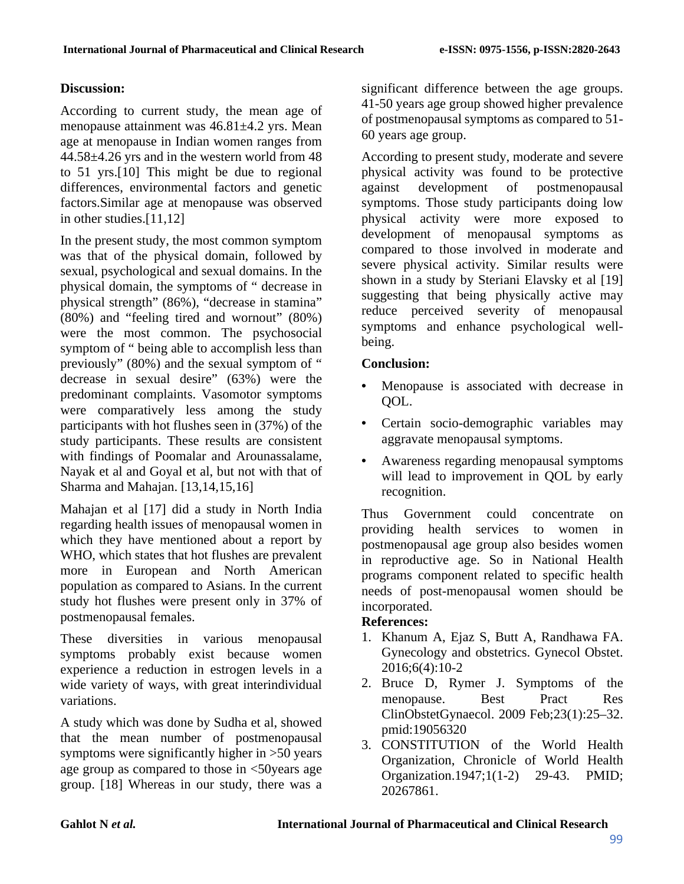# **Discussion:**

According to current study, the mean age of menopause attainment was 46.81±4.2 yrs. Mean age at menopause in Indian women ranges from 44.58±4.26 yrs and in the western world from 48 to 51 yrs.[10] This might be due to regional differences, environmental factors and genetic factors.Similar age at menopause was observed in other studies.[11,12]

In the present study, the most common symptom was that of the physical domain, followed by sexual, psychological and sexual domains. In the physical domain, the symptoms of " decrease in physical strength" (86%), "decrease in stamina" (80%) and "feeling tired and wornout" (80%) were the most common. The psychosocial symptom of " being able to accomplish less than previously" (80%) and the sexual symptom of " decrease in sexual desire" (63%) were the predominant complaints. Vasomotor symptoms were comparatively less among the study participants with hot flushes seen in (37%) of the study participants. These results are consistent with findings of Poomalar and Arounassalame, Nayak et al and Goyal et al, but not with that of Sharma and Mahajan. [13,14,15,16]

Mahajan et al [17] did a study in North India regarding health issues of menopausal women in which they have mentioned about a report by WHO, which states that hot flushes are prevalent more in European and North American population as compared to Asians. In the current study hot flushes were present only in 37% of postmenopausal females.

These diversities in various menopausal symptoms probably exist because women experience a reduction in estrogen levels in a wide variety of ways, with great interindividual variations.

A study which was done by Sudha et al, showed that the mean number of postmenopausal symptoms were significantly higher in >50 years age group as compared to those in <50years age group. [18] Whereas in our study, there was a

significant difference between the age groups. 41-50 years age group showed higher prevalence of postmenopausal symptoms as compared to 51- 60 years age group.

According to present study, moderate and severe physical activity was found to be protective against development of postmenopausal symptoms. Those study participants doing low physical activity were more exposed to development of menopausal symptoms as compared to those involved in moderate and severe physical activity. Similar results were shown in a study by Steriani Elavsky et al [19] suggesting that being physically active may reduce perceived severity of menopausal symptoms and enhance psychological wellbeing.

### **Conclusion:**

- Menopause is associated with decrease in QOL.
- Certain socio-demographic variables may aggravate menopausal symptoms.
- Awareness regarding menopausal symptoms will lead to improvement in QOL by early recognition.

Thus Government could concentrate on providing health services to women in postmenopausal age group also besides women in reproductive age. So in National Health programs component related to specific health needs of post-menopausal women should be incorporated.

# **References:**

- 1. Khanum A, Ejaz S, Butt A, Randhawa FA. Gynecology and obstetrics. Gynecol Obstet. 2016;6(4):10-2
- 2. Bruce D, Rymer J. Symptoms of the menopause. Best Pract Res ClinObstetGynaecol. 2009 Feb;23(1):25–32. pmid:19056320
- 3. CONSTITUTION of the World Health Organization, Chronicle of World Health Organization.1947;1(1-2) 29-43. PMID; 20267861.